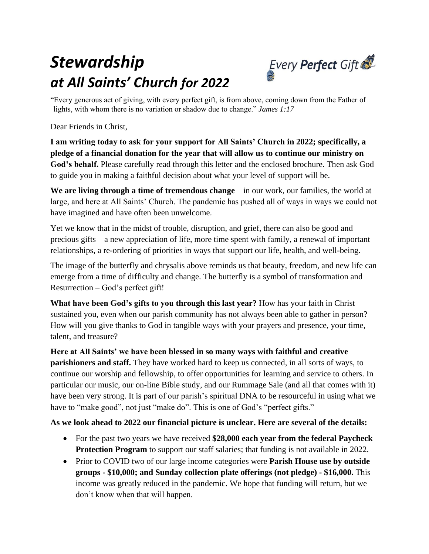## *Stewardship at All Saints' Church for 2022*



"Every generous act of giving, with every perfect gift, is from above, coming down from the Father of lights, with whom there is no variation or shadow due to change." *James 1:17*

Dear Friends in Christ,

**I am writing today to ask for your support for All Saints' Church in 2022; specifically, a pledge of a financial donation for the year that will allow us to continue our ministry on God's behalf.** Please carefully read through this letter and the enclosed brochure. Then ask God to guide you in making a faithful decision about what your level of support will be.

**We are living through a time of tremendous change** – in our work, our families, the world at large, and here at All Saints' Church. The pandemic has pushed all of ways in ways we could not have imagined and have often been unwelcome.

Yet we know that in the midst of trouble, disruption, and grief, there can also be good and precious gifts – a new appreciation of life, more time spent with family, a renewal of important relationships, a re-ordering of priorities in ways that support our life, health, and well-being.

The image of the butterfly and chrysalis above reminds us that beauty, freedom, and new life can emerge from a time of difficulty and change. The butterfly is a symbol of transformation and Resurrection – God's perfect gift!

**What have been God's gifts to you through this last year?** How has your faith in Christ sustained you, even when our parish community has not always been able to gather in person? How will you give thanks to God in tangible ways with your prayers and presence, your time, talent, and treasure?

**Here at All Saints' we have been blessed in so many ways with faithful and creative parishioners and staff.** They have worked hard to keep us connected, in all sorts of ways, to continue our worship and fellowship, to offer opportunities for learning and service to others. In particular our music, our on-line Bible study, and our Rummage Sale (and all that comes with it) have been very strong. It is part of our parish's spiritual DNA to be resourceful in using what we have to "make good", not just "make do". This is one of God's "perfect gifts."

**As we look ahead to 2022 our financial picture is unclear. Here are several of the details:**

- For the past two years we have received **\$28,000 each year from the federal Paycheck Protection Program** to support our staff salaries; that funding is not available in 2022.
- Prior to COVID two of our large income categories were **Parish House use by outside groups - \$10,000; and Sunday collection plate offerings (not pledge) - \$16,000.** This income was greatly reduced in the pandemic. We hope that funding will return, but we don't know when that will happen.